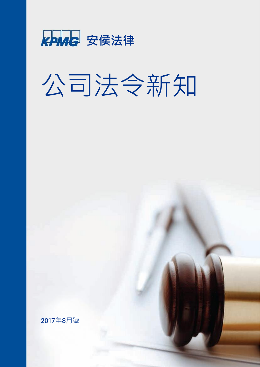

# 公司法令新知

2017年8月號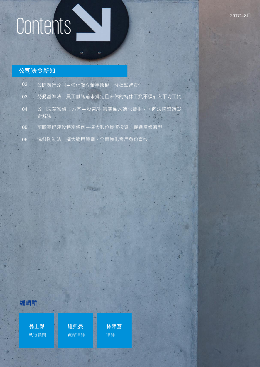# Contents

### **公司法令新知**

| 02 | 公開發行公司–強化獨立董事職權、發揮監督責任                |
|----|---------------------------------------|
| 03 | 勞動基準法-員工離職前未排定且未休的特休工資不須計入平均工資        |
| 04 | 公司法草案修正方向–股東/利害關係人請求遭拒,可向法院聲請裁<br>定解決 |
| 05 | 前瞻基礎建設特別條例–擴大數位經濟投資,促進產業轉型            |
| 06 | 洗錢防制法-擴大適用範圍,全面強化客戶身份查核               |

A Filippine

 $\ddot{\mathbf{e}}$ 

 $\ddot{\phantom{a}}$ 

### **編輯群**

**翁士傑** 執行顧問 **鍾典晏** 資深律師 **林陣蒼** 律師

KPMG international Cooperative ("KPMG International"), a Swiss entity. All rights reserved. Printed in Taiwan.

© 2017 KPMG Law Firm, a Taiwan licensed law firm and a member firm of the KPMG network of independent member firms affiliated with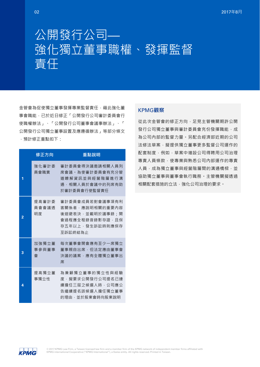### 公開發行公司— 強化獨立董事職權、發揮監督 責任

金管會為促使獨立董事發揮專業監督責任,藉此強化董 事會職能,已於近日修正「公開發行公司審計委員會行 使職權辦法」、「公開發行公司董事會議事辦法」、「 公開發行公司獨立董事設置及應遵循辦法」等部分條文 ,預計修正重點如下:

|                | 修正方向                 | 重點說明                                                                                                   |
|----------------|----------------------|--------------------------------------------------------------------------------------------------------|
|                | 強化審計委<br>員會職責        | 審計委員會得決議激請相關人員列<br>席會議。為使審計委員會有充分管<br>道 瞭 解 資 訊 並 與 經 營 階 層 進 行 溝<br>涌·相關人員於會議中的列席有助<br>於審計委員會行使監督責任   |
| $\overline{2}$ | 提高審計委<br>員會會議诱<br>明度 | 審計委員會成員若對會議事項有利<br>害關係者,應說明相關的重要內容<br>後迴避表決,並載明於議事錄:開<br>會過程應全程錄音錄影存證,目保<br>存五年以上,發生訴訟時則應保存<br>至訴訟終結為止 |
| R              | 加強獨立董<br>事參與董事<br>會  | 每次董事會開會應有至少一席獨立<br>董事親自出席,但法定應由董事會<br>決議的議案,應有全體獨立董事出<br>席                                             |
| 4              | 提高獨立董<br>事獨立性        | 為兼顧獨立董事的獨立性與經驗<br>度,擬要求公開發行公司提名已連<br>續擔任三屆之候選人時,公司應公<br>告繼續提名該候選人擔任獨立董事<br>的理由,並於股東會時向股東說明             |

### KPMG**觀察**

從此次金管會的修正方向,足見主管機關期許公開 發行公司獨立董事與審計委員會充份發揮職能,成 為公司內部的監督力量。另配合經濟部近期的公司 法修法草案,擬提供獨立董事更多監督公司運作的 配套制度,例如,草案中增設公司得聘用公司治理 專責人員條款,使專業與熟悉公司內部運作的專責 人員,成為獨立董事與經營階層間的溝通橋樑,並 協助獨立董事與董事會執行職務。主管機關擬透過 相關配套措施的立法,強化公司治理的要求。

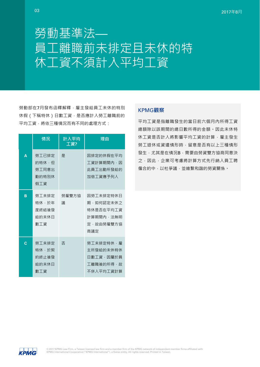# 勞動基準法— 員工離職前未排定且未休的特 休工資不須計入平均工資

勞動部在7月發布函釋解釋,雇主發給員工未休的特別 休假(下稱特休)日數工資,是否應計入勞工離職前的 平均工資,將依三種情況而有不同的處理方式:

|   | 情況                                      | 計入平均<br>工資? | 理由                                                                   |
|---|-----------------------------------------|-------------|----------------------------------------------------------------------|
| A | 勞工已排定<br>的特休,但<br>勞丁同意出<br>勤的特別休<br>假工資 | 是           | 因排定的休假在平均<br>工資計算期間內,因<br>此員工出勤所發給的<br>加倍工資應予列入                      |
| B | 勞工未排定<br>特休,於年<br>度終結後發<br>給的未休日<br>數工資 | 勞雇雙方協<br>議  | 因勞工未排定特休日<br>期・如何認定未休之<br>特休是否在平均工資<br>計算期間內,法無明<br>定・故由勞雇雙方協<br>商議定 |
| C | 勞工未排定<br>特休·於契<br>約終止後發<br>給的未休日<br>數工資 | 否           | 勞工未排定特休,雇<br>主所發給的未休特休<br>日數丁資,因屬於員<br>工離職後的所得,故<br>不併入平均工資計算        |

### KPMG**觀察**

平均工資是指離職發生的當日前六個月內所得工資 總額除以該期間的總日數所得的金額。因此未休特 休工資是否計入將影響平均工資的計算,雇主發生 勞工退休或資遣情形時,留意是否有以上三種情形 發生,尤其是在情況B,需要由勞資雙方協商同意決 之,因此,企業可考慮將計算方式先行納入員工聘 僱合約中,以杜爭議,並維繫和諧的勞資關係。

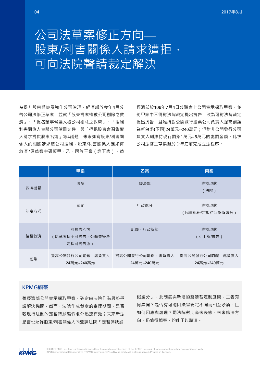## 公司法草案修正方向— 股東/利害關係人請求遭拒, 可向法院聲請裁定解決

為提升股東權益及強化公司治理,經濟部於今年4月公 告公司法修正草案,並就「股東提案權被公司剔除之救 濟」、「提名董事候選人被公司剔除之救濟」、「拒絕 利害關係人查閱公司簿冊文件」與「拒絕股東會召集權 人請求提供股東名簿」等4議題,未來如有股東/利害關 係人的相關請求遭公司拒絕,股東/利害關係人應如何 救濟?原草案中研擬甲、乙、丙等三案(詳下表),然 經濟部於106年7月4日公聽會上公開宣示採取甲案,並 將甲案中不得對法院裁定提出抗告,改為可對法院裁定 提出抗告,且維持對公開發行股票公司負責人提高罰鍰 為新台幣(下同)24萬元~240萬元;但對非公開發行公司 負責人則維持現行罰鍰1萬元~5萬元的處罰金額。此次 公司法修正草案擬於今年底前完成立法程序。

|      | 甲案                                   | 乙案                            | 丙案                            |
|------|--------------------------------------|-------------------------------|-------------------------------|
| 救濟機關 | 法院                                   | 經濟部                           | 維持現狀<br>(法院)                  |
| 決定方式 | 裁定                                   | 行政處分                          | 維持現狀<br>(民事訴訟/定暫時狀態假處分 )      |
| 後續救濟 | 可抗告乙次<br>(原草案採不可抗告, 公聽會後決<br>定採可抗告版) | 訴願、行政訴訟                       | 維持現狀<br>(可上訴/抗告)              |
| 罰鍰   | 提高公開發行公司罰鍰‧處負責人<br>24萬元~240萬元        | 提高公開發行公司罰鍰‧處負責人<br>24萬元~240萬元 | 提高公開發行公司罰鍰,處負責人<br>24萬元~240萬元 |

### KPMG**觀察**

雖經濟部公開宣示採取甲案,確定由法院作為最終爭 議解決機關,然而,法院作成裁定的審理期間,是否 較現行法制的定暫時狀態假處分迅速有效?未來新法 是否也允許股東/利害關係人向聲請法院「定暫時狀態

假處分」,此制度與新增的聲請裁定制度間,二者有 何異同?是否有可能因法官認定不同而相互矛盾,且 如何因應與處理?司法院對此尚未表態。未來修法方 向,仍值得觀察,盼能予以釐清。

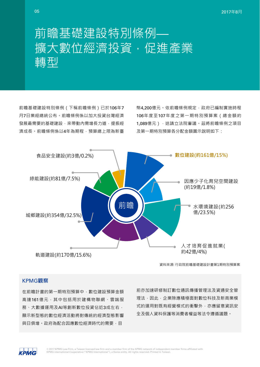前瞻基礎建設特別條例 (下稱前瞻條例)已於106年7 月7日業經總統公布。前瞻條例係以加大投資台灣經濟 發展最需要的基礎建設,來帶動內需增長力道,提振經 濟成長。前瞻條例係以4年為期程,預算總上限為新臺

幣4,200億元。依前瞻條例規定,政府已編制實施時程 106年度至107年度之第一期特別預算案(總金額約 1,089億元),送請立法院審議。茲將前瞻條例之項目 及第一期特別預算各分配金額圖示說明如下:



資料來源: 行政院前瞻基礎建設計畫第1期特別預算案

### KPMG**觀察**

在前瞻計畫的第一期特別預算中,數位建設預算金額 高達161億元,其中包括用於建構物聯網、雲端服 務、大數據運用及AI等創新數位投資佔近3成左右, 顯示新型態的數位經濟活動將對傳統的經濟型態影響 與日俱增。政府為配合因應數位經濟時代的需要,目

前亦加速研修制訂數位通訊傳播管理法及資通安全管 理法,因此,企業除應積極面對數位科技及新商業模 式的運用對既有經營模式的衝擊外,亦應留意資訊安 全及個人資料保護等消費者權益等法令遵循議題。

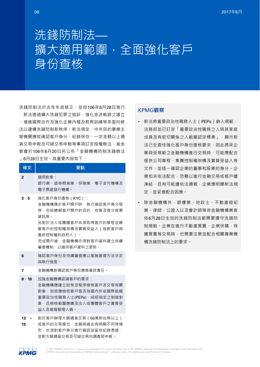

洗錢防制法於去年年底修正,並自106年6月28日施行

,新法透過擴大洗錢犯罪之追訴、強化金流軌跡之建立 、增進國際合作及強化企業內稽及教育訓練等多面向修 法以建構洗錢防制新秩序。新法規定,中央目的事業主 管機關應就確認客戶身分、紀錄保存、一定金額以上通 貨交易申報交易申報等事項訂定授權辦法,爰金 管會於106年6月20日另公布「金融機構防制洗錢辦法 」6月28日生效。其重要內容如下:

| 條文           | 要點                                                                                                                                                                                      |
|--------------|-----------------------------------------------------------------------------------------------------------------------------------------------------------------------------------------|
| $\mathbf{2}$ | 滴用對象・<br>銀行業、證券期貨業、保險業、電子支付機構及<br>雷子票證發行機構。                                                                                                                                             |
| 3.5          | 強化客戶身份查核 (KYC):<br>金融機構應於客戶開戶時,執行確認客戶身分程<br>序,包括瞭解客戶開戶的目的、性質及身分背景<br>資訊等。<br>另對於法人或團體客戶尚須取得客戶的章程並瞭<br>解客戶的控制權架構及實質受益人(指對客戶具<br>最終控制權的自然人)。<br>完成開戶後,金融機構亦須對客戶資料建立持續<br>審杳機制,以維持客戶資料之更新。 |
| 6            | 確認客戶身份及持續審查應以風險基礎方法決定<br>其執行強度。                                                                                                                                                         |
| 7            | 金融機構對確認客戶身份應負最終責仠。                                                                                                                                                                      |
| $8 \cdot 10$ | 加強金融機構認識客戶的要求・<br>金融機構應建立政策及程序檢核客戶及交易有關<br>對象,句括應檢核客戶是否為國內外或國際組織<br>重要政治性職務人士(PEPs),或經指定之制裁對<br>象,目檢核範圍應擴及法人或團體客戶之實質受<br>益人及高階管理人員。                                                     |
| 13           | 對於客戶辦理大額通貨交易 (50萬新台幣以上)                                                                                                                                                                 |

**15** 或客戶的交易模式、金額與過去有明顯不同等情 形,也須對客戶身分進行確認並留存紀錄憑證, 並對大額通貨交易及可疑交易向調查局申報。

### KPMG**觀察**

- 新法將重要政治性職務人士 (PEPs) 納入規範, 法務部並已訂定「重要政治性職務之人與其家庭 成員及有密切關係之人範圍認定標準」,顯示新 法已全面性強化客戶身份查核要求,因此將來企 業與受規範之金融機構進行交易時,可能需配合 提供公司章程、集團控制權架構及實質受益人等 文件,並逐一確認企業的董事和股東的身分。企 業如未依法配合,恐難以進行金融交易或帳戶遭 凍結,且有可能遭依法通報,企業應明瞭新法規 定,並妥適配合因應。
- 除金融機構外,銀樓業、地政士、不動產經紀 業、律師、公證人以及會計師等非金融機構業者 依6月28日生效的洗錢防制法都需要遵守洗錢防 制規範。企業在進行不動產買賣、企業併購、珠 寶買賣等交易時,也需要注意並配合相關專業機 構洗錢防制法上的要求。